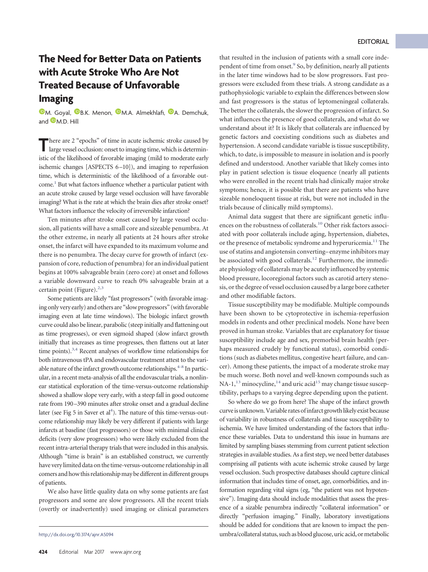## EDITORIAL

## **The Need for Better Data on Patients with Acute Stroke Who Are Not Treated Because of Unfavorable Imaging**

**O[M. Goyal,](http://orcid.org/0000-0001-9060-2109) O[B.K. Menon,](http://orcid.org/0000-0002-3466-496X) O[M.A. Almekhlafi,](http://orcid.org/0000-0001-9550-8197) O[A. Demchuk,](http://orcid.org/0000-0002-4930-7789)** and  $\blacksquare$  [M.D. Hill](http://orcid.org/0000-0002-6269-1543)

There are 2 "epochs" of time in acute ischemic stroke caused by large vessel occlusion: onset to imaging time, which is deterministic of the likelihood of favorable imaging (mild to moderate early ischemic changes [ASPECTS 6-10]), and imaging to reperfusion time, which is deterministic of the likelihood of a favorable outcome.<sup>1</sup> But what factors influence whether a particular patient with an acute stroke caused by large vessel occlusion will have favorable imaging? What is the rate at which the brain dies after stroke onset? What factors influence the velocity of irreversible infarction?

Ten minutes after stroke onset caused by large vessel occlusion, all patients will have a small core and sizeable penumbra. At the other extreme, in nearly all patients at 24 hours after stroke onset, the infarct will have expanded to its maximum volume and there is no penumbra. The decay curve for growth of infarct (expansion of core, reduction of penumbra) for an individual patient begins at 100% salvageable brain (zero core) at onset and follows a variable downward curve to reach 0% salvageable brain at a certain point (Figure). $2,3$  $2,3$ 

Some patients are likely "fast progressors" (with favorable imaging only very early) and others are "slow progressors" (with favorable imaging even at late time windows). The biologic infarct growth curve could also be linear, parabolic (steep initially and flattening out as time progresses), or even sigmoid shaped (slow infarct growth initially that increases as time progresses, then flattens out at later time points).<sup>3,[4](#page-1-3)</sup> Recent analyses of workflow time relationships for both intravenous tPA and endovascular treatment attest to the vari-able nature of the infarct growth outcome relationships.<sup>4-[8](#page-1-4)</sup> In particular, in a recent meta-analysis of all the endovascular trials, a nonlinear statistical exploration of the time-versus-outcome relationship showed a shallow slope very early, with a steep fall in good outcome rate from 190-390 minutes after stroke onset and a gradual decline later (see Fig 5 in Saver et al<sup>4</sup>). The nature of this time-versus-outcome relationship may likely be very different if patients with large infarcts at baseline (fast progressors) or those with minimal clinical deficits (very slow progressors) who were likely excluded from the recent intra-arterial therapy trials that were included in this analysis. Although "time is brain" is an established construct, we currently have very limited data on the time-versus-outcome relationship in all comers and how this relationship may be different in different groups of patients.

We also have little quality data on why some patients are fast progressors and some are slow progressors. All the recent trials (overtly or inadvertently) used imaging or clinical parameters that resulted in the inclusion of patients with a small core independent of time from onset.<sup>9</sup> So, by definition, nearly all patients in the later time windows had to be slow progressors. Fast progressors were excluded from these trials. A strong candidate as a pathophysiologic variable to explain the differences between slow and fast progressors is the status of leptomeningeal collaterals. The better the collaterals, the slower the progression of infarct. So what influences the presence of good collaterals, and what do we understand about it? It is likely that collaterals are influenced by genetic factors and coexisting conditions such as diabetes and hypertension. A second candidate variable is tissue susceptibility, which, to date, is impossible to measure in isolation and is poorly defined and understood. Another variable that likely comes into play in patient selection is tissue eloquence (nearly all patients who were enrolled in the recent trials had clinically major stroke symptoms; hence, it is possible that there are patients who have sizeable noneloquent tissue at risk, but were not included in the trials because of clinically mild symptoms).

Animal data suggest that there are significant genetic influences on the robustness of collaterals[.10](#page-1-6) Other risk factors associated with poor collaterals include aging, hypertension, diabetes, or the presence of metabolic syndrome and hyperuricemia.<sup>11</sup> The use of statins and angiotensin converting– enzyme inhibitors may be associated with good collaterals.<sup>12</sup> Furthermore, the immediate physiology of collaterals may be acutely influenced by systemic blood pressure, locoregional factors such as carotid artery stenosis, or the degree of vessel occlusion caused by a large bore catheter and other modifiable factors.

Tissue susceptibility may be modifiable. Multiple compounds have been shown to be cytoprotective in ischemia-reperfusion models in rodents and other preclinical models. None have been proved in human stroke. Variables that are explanatory for tissue susceptibility include age and sex, premorbid brain health (perhaps measured crudely by functional status), comorbid conditions (such as diabetes mellitus, congestive heart failure, and cancer). Among these patients, the impact of a moderate stroke may be much worse. Both novel and well-known compounds such as NA-1, $^{13}$  minocycline, $^{14}$  and uric acid<sup>15</sup> may change tissue susceptibility, perhaps to a varying degree depending upon the patient.

So where do we go from here? The shape of the infarct growth curve is unknown. Variable rates of infarct growth likely exist because of variability in robustness of collaterals and tissue susceptibility to ischemia. We have limited understanding of the factors that influence these variables. Data to understand this issue in humans are limited by sampling biases stemming from current patient selection strategies in available studies. As a first step, we need better databases comprising *all* patients with acute ischemic stroke caused by large vessel occlusion. Such prospective databases should capture clinical information that includes time of onset, age, comorbidities, and information regarding vital signs (eg, "the patient was not hypotensive"). Imaging data should include modalities that assess the presence of a sizable penumbra indirectly "collateral information" or directly "perfusion imaging." Finally, laboratory investigations should be added for conditions that are known to impact the penhttp://dx.doi.org/10.3174/ajnr.A5094 umbra/collateral status, such as blood glucose, uric acid, ormetabolic